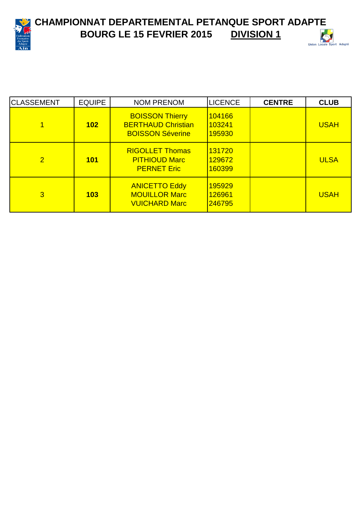

**CHAMPIONNAT DEPARTEMENTAL PETANQUE SPORT ADAPTE**<br>BOURG LE 15 FEVRIER 2015 DIVISION 1 **BOURG LE 15 FEVRIER 2015** 



| <b>CLASSEMENT</b> | <b>EQUIPE</b> | <b>NOM PRENOM</b>                                                              | <b>LICENCE</b>             | <b>CENTRE</b> | <b>CLUB</b> |
|-------------------|---------------|--------------------------------------------------------------------------------|----------------------------|---------------|-------------|
|                   | 102           | <b>BOISSON Thierry</b><br><b>BERTHAUD Christian</b><br><b>BOISSON Séverine</b> | 104166<br>103241<br>195930 |               | <b>USAH</b> |
| $\overline{2}$    | <b>101</b>    | <b>RIGOLLET Thomas</b><br><b>PITHIOUD Marc</b><br><b>PERNET Eric</b>           | 131720<br>129672<br>160399 |               | <b>ULSA</b> |
| 3                 | 103           | <b>ANICETTO Eddy</b><br><b>MOUILLOR Marc</b><br><b>VUICHARD Marc</b>           | 195929<br>126961<br>246795 |               | <b>USAH</b> |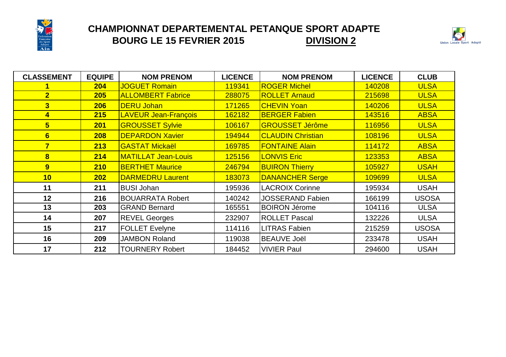

## **CHAMPIONNAT DEPARTEMENTAL PETANQUE SPORT ADAPTE BOURG LE 15 FEVRIER 2015 DIVISION 2**



| <b>CLASSEMENT</b>       | <b>EQUIPE</b> | <b>NOM PRENOM</b>           | <b>LICENCE</b> | <b>NOM PRENOM</b>        | <b>LICENCE</b> | <b>CLUB</b>  |
|-------------------------|---------------|-----------------------------|----------------|--------------------------|----------------|--------------|
|                         | 204           | <b>JOGUET Romain</b>        | 119341         | <b>ROGER Michel</b>      | 140208         | <b>ULSA</b>  |
| $\overline{2}$          | 205           | <b>ALLOMBERT Fabrice</b>    | 288075         | <b>ROLLET Arnaud</b>     | 215698         | <b>ULSA</b>  |
| 3                       | 206           | <b>DERU Johan</b>           | 171265         | <b>CHEVIN Yoan</b>       | 140206         | <b>ULSA</b>  |
| 4                       | 215           | <b>LAVEUR Jean-François</b> | 162182         | <b>BERGER Fabien</b>     | 143516         | <b>ABSA</b>  |
| $5\overline{)}$         | 201           | <b>GROUSSET Sylvie</b>      | 106167         | <b>GROUSSET Jérôme</b>   | 116956         | <b>ULSA</b>  |
| 6                       | 208           | <b>DEPARDON Xavier</b>      | 194944         | <b>CLAUDIN Christian</b> | 108196         | <b>ULSA</b>  |
| $\overline{\mathbf{7}}$ | 213           | <b>GASTAT Mickaël</b>       | 169785         | <b>FONTAINE Alain</b>    | 114172         | <b>ABSA</b>  |
| 8                       | 214           | <b>MATILLAT Jean-Louis</b>  | 125156         | <b>LONVIS Eric</b>       | 123353         | <b>ABSA</b>  |
| 9 <sup>°</sup>          | 210           | <b>BERTHET Maurice</b>      | 246794         | <b>BUIRON Thierry</b>    | 105927         | <b>USAH</b>  |
| 10                      | 202           | <b>DARMEDRU Laurent</b>     | 183073         | <b>DANANCHER Serge</b>   | 109699         | <b>ULSA</b>  |
| 11                      | 211           | <b>BUSI Johan</b>           | 195936         | <b>LACROIX Corinne</b>   | 195934         | <b>USAH</b>  |
| 12                      | 216           | <b>BOUARRATA Robert</b>     | 140242         | <b>JOSSERAND Fabien</b>  | 166199         | <b>USOSA</b> |
| 13                      | 203           | <b>GRAND Bernard</b>        | 165551         | <b>BOIRON Jérome</b>     | 104116         | <b>ULSA</b>  |
| 14                      | 207           | <b>REVEL Georges</b>        | 232907         | <b>ROLLET Pascal</b>     | 132226         | <b>ULSA</b>  |
| 15                      | 217           | <b>FOLLET Evelyne</b>       | 114116         | <b>LITRAS Fabien</b>     | 215259         | <b>USOSA</b> |
| 16                      | 209           | <b>JAMBON Roland</b>        | 119038         | <b>BEAUVE Joël</b>       | 233478         | <b>USAH</b>  |
| 17                      | 212           | <b>TOURNERY Robert</b>      | 184452         | <b>VIVIER Paul</b>       | 294600         | <b>USAH</b>  |